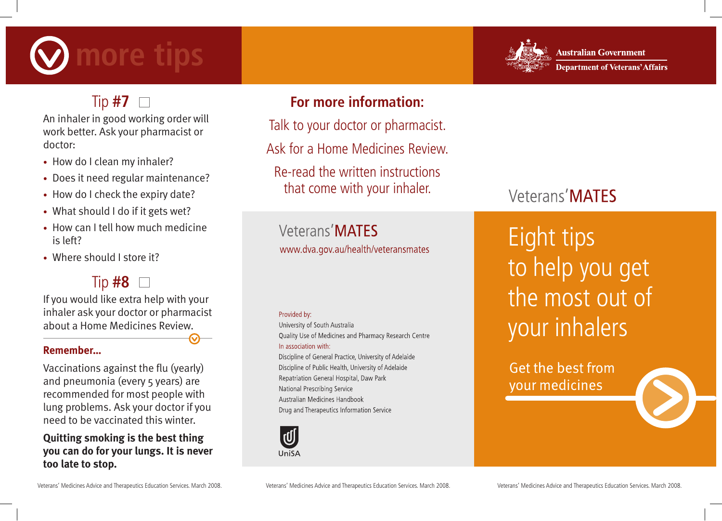# **more tips**



**Australian Government Department of Veterans' Affairs** 

## Tip  $#7$   $\Box$

An inhaler in good working order will work better. Ask your pharmacist or doctor:

- How do I clean my inhaler?
- Does it need regular maintenance?
- How do I check the expiry date?
- What should I do if it gets wet?
- How can I tell how much medicine is left?
- Where should I store it?

## Tip **#8**

If you would like extra help with your inhaler ask your doctor or pharmacist about a Home Medicines Review.

## **Remember…**

Vaccinations against the flu (yearly) and pneumonia (every 5 years) are recommended for most people with lung problems. Ask your doctor if you need to be vaccinated this winter.

## **Quitting smoking is the best thing you can do for your lungs. It is never too late to stop.**

## **For more information:**

Talk to your doctor or pharmacist.

Ask for a Home Medicines Review.

Re-read the written instructions that come with your inhaler.

Veterans'MATFS www.dva.gov.au/health/veteransmates

### Provided by:

University of South Australia Quality Use of Medicines and Pharmacy Research Centre In association with:

Discipline of General Practice, University of Adelaide Discipline of Public Health, University of Adelaide Repatriation General Hospital, Daw Park National Prescribing Service Australian Medicines Handbook Drug and Therapeutics Information Service



# Veterans' MATES

Eight tips to help you get the most out of your inhalers

Get the best from your medicines